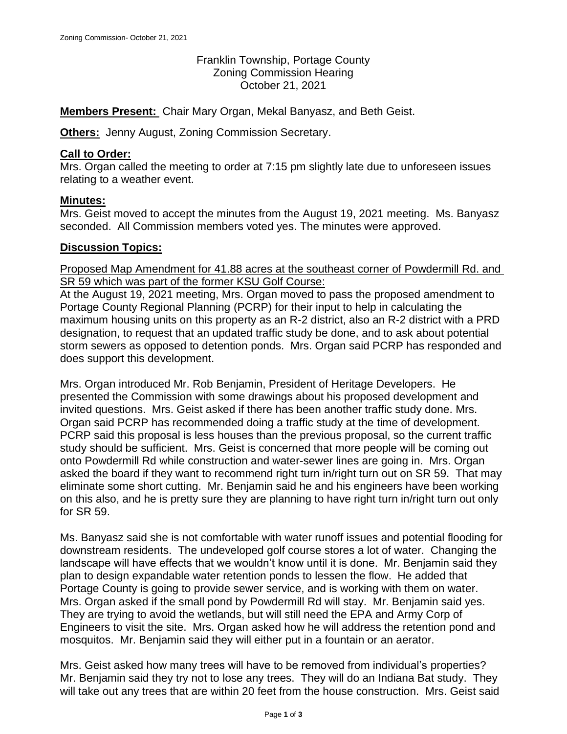Franklin Township, Portage County Zoning Commission Hearing October 21, 2021

**Members Present:** Chair Mary Organ, Mekal Banyasz, and Beth Geist.

**Others:** Jenny August, Zoning Commission Secretary.

### **Call to Order:**

Mrs. Organ called the meeting to order at 7:15 pm slightly late due to unforeseen issues relating to a weather event.

### **Minutes:**

Mrs. Geist moved to accept the minutes from the August 19, 2021 meeting. Ms. Banyasz seconded. All Commission members voted yes. The minutes were approved.

### **Discussion Topics:**

Proposed Map Amendment for 41.88 acres at the southeast corner of Powdermill Rd. and SR 59 which was part of the former KSU Golf Course:

At the August 19, 2021 meeting, Mrs. Organ moved to pass the proposed amendment to Portage County Regional Planning (PCRP) for their input to help in calculating the maximum housing units on this property as an R-2 district, also an R-2 district with a PRD designation, to request that an updated traffic study be done, and to ask about potential storm sewers as opposed to detention ponds. Mrs. Organ said PCRP has responded and does support this development.

Mrs. Organ introduced Mr. Rob Benjamin, President of Heritage Developers. He presented the Commission with some drawings about his proposed development and invited questions. Mrs. Geist asked if there has been another traffic study done. Mrs. Organ said PCRP has recommended doing a traffic study at the time of development. PCRP said this proposal is less houses than the previous proposal, so the current traffic study should be sufficient. Mrs. Geist is concerned that more people will be coming out onto Powdermill Rd while construction and water-sewer lines are going in. Mrs. Organ asked the board if they want to recommend right turn in/right turn out on SR 59. That may eliminate some short cutting. Mr. Benjamin said he and his engineers have been working on this also, and he is pretty sure they are planning to have right turn in/right turn out only for SR 59.

Ms. Banyasz said she is not comfortable with water runoff issues and potential flooding for downstream residents. The undeveloped golf course stores a lot of water. Changing the landscape will have effects that we wouldn't know until it is done. Mr. Benjamin said they plan to design expandable water retention ponds to lessen the flow. He added that Portage County is going to provide sewer service, and is working with them on water. Mrs. Organ asked if the small pond by Powdermill Rd will stay. Mr. Benjamin said yes. They are trying to avoid the wetlands, but will still need the EPA and Army Corp of Engineers to visit the site. Mrs. Organ asked how he will address the retention pond and mosquitos. Mr. Benjamin said they will either put in a fountain or an aerator.

Mrs. Geist asked how many trees will have to be removed from individual's properties? Mr. Benjamin said they try not to lose any trees. They will do an Indiana Bat study. They will take out any trees that are within 20 feet from the house construction. Mrs. Geist said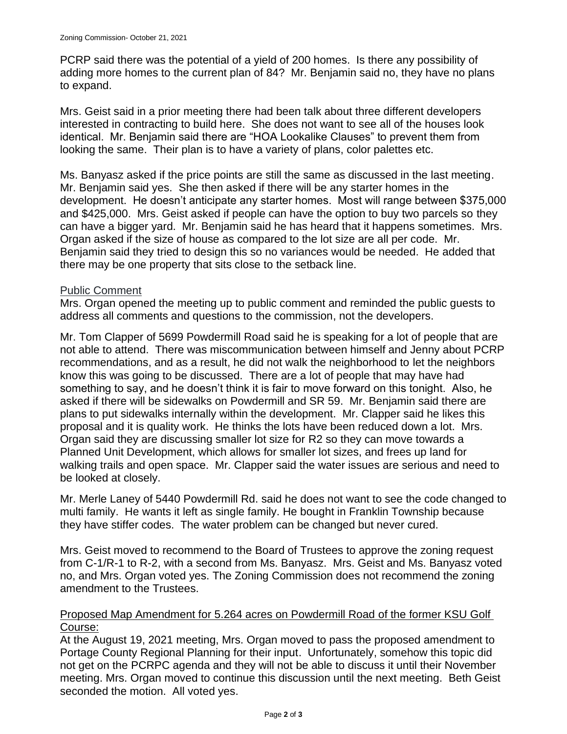PCRP said there was the potential of a yield of 200 homes. Is there any possibility of adding more homes to the current plan of 84? Mr. Benjamin said no, they have no plans to expand.

Mrs. Geist said in a prior meeting there had been talk about three different developers interested in contracting to build here. She does not want to see all of the houses look identical. Mr. Benjamin said there are "HOA Lookalike Clauses" to prevent them from looking the same. Their plan is to have a variety of plans, color palettes etc.

Ms. Banyasz asked if the price points are still the same as discussed in the last meeting. Mr. Benjamin said yes. She then asked if there will be any starter homes in the development. He doesn't anticipate any starter homes. Most will range between \$375,000 and \$425,000. Mrs. Geist asked if people can have the option to buy two parcels so they can have a bigger yard. Mr. Benjamin said he has heard that it happens sometimes. Mrs. Organ asked if the size of house as compared to the lot size are all per code. Mr. Benjamin said they tried to design this so no variances would be needed. He added that there may be one property that sits close to the setback line.

# Public Comment

Mrs. Organ opened the meeting up to public comment and reminded the public guests to address all comments and questions to the commission, not the developers.

Mr. Tom Clapper of 5699 Powdermill Road said he is speaking for a lot of people that are not able to attend. There was miscommunication between himself and Jenny about PCRP recommendations, and as a result, he did not walk the neighborhood to let the neighbors know this was going to be discussed. There are a lot of people that may have had something to say, and he doesn't think it is fair to move forward on this tonight. Also, he asked if there will be sidewalks on Powdermill and SR 59. Mr. Benjamin said there are plans to put sidewalks internally within the development. Mr. Clapper said he likes this proposal and it is quality work. He thinks the lots have been reduced down a lot. Mrs. Organ said they are discussing smaller lot size for R2 so they can move towards a Planned Unit Development, which allows for smaller lot sizes, and frees up land for walking trails and open space. Mr. Clapper said the water issues are serious and need to be looked at closely.

Mr. Merle Laney of 5440 Powdermill Rd. said he does not want to see the code changed to multi family. He wants it left as single family. He bought in Franklin Township because they have stiffer codes. The water problem can be changed but never cured.

Mrs. Geist moved to recommend to the Board of Trustees to approve the zoning request from C-1/R-1 to R-2, with a second from Ms. Banyasz. Mrs. Geist and Ms. Banyasz voted no, and Mrs. Organ voted yes. The Zoning Commission does not recommend the zoning amendment to the Trustees.

# Proposed Map Amendment for 5.264 acres on Powdermill Road of the former KSU Golf Course:

At the August 19, 2021 meeting, Mrs. Organ moved to pass the proposed amendment to Portage County Regional Planning for their input. Unfortunately, somehow this topic did not get on the PCRPC agenda and they will not be able to discuss it until their November meeting. Mrs. Organ moved to continue this discussion until the next meeting. Beth Geist seconded the motion. All voted yes.